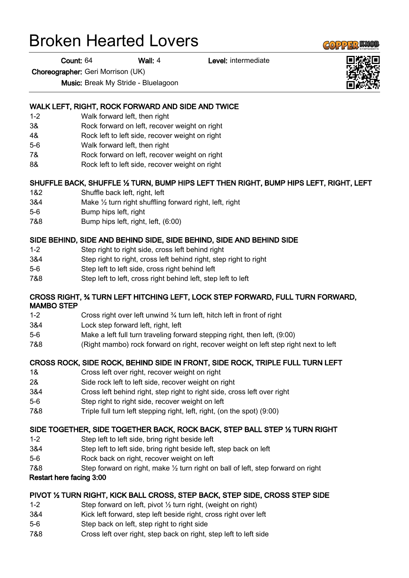# Broken Hearted Lovers

Count: 64 Wall: 4 Level: intermediate

Choreographer: Geri Morrison (UK)

Music: Break My Stride - Bluelagoon

## WALK LEFT, RIGHT, ROCK FORWARD AND SIDE AND TWICE

- 1-2 Walk forward left, then right
- 3& Rock forward on left, recover weight on right
- 4& Rock left to left side, recover weight on right
- 5-6 Walk forward left, then right
- 7& Rock forward on left, recover weight on right
- 8& Rock left to left side, recover weight on right

## SHUFFLE BACK, SHUFFLE ½ TURN, BUMP HIPS LEFT THEN RIGHT, BUMP HIPS LEFT, RIGHT, LEFT

- 1&2 Shuffle back left, right, left
- 3&4 Make ½ turn right shuffling forward right, left, right
- 5-6 Bump hips left, right
- 7&8 Bump hips left, right, left, (6:00)

## SIDE BEHIND, SIDE AND BEHIND SIDE, SIDE BEHIND, SIDE AND BEHIND SIDE

- 1-2 Step right to right side, cross left behind right
- 3&4 Step right to right, cross left behind right, step right to right
- 5-6 Step left to left side, cross right behind left
- 7&8 Step left to left, cross right behind left, step left to left

#### CROSS RIGHT, ¾ TURN LEFT HITCHING LEFT, LOCK STEP FORWARD, FULL TURN FORWARD, MAMBO STEP

- 1-2 Cross right over left unwind ¾ turn left, hitch left in front of right
- 3&4 Lock step forward left, right, left
- 5-6 Make a left full turn traveling forward stepping right, then left, (9:00)
- 7&8 (Right mambo) rock forward on right, recover weight on left step right next to left

## CROSS ROCK, SIDE ROCK, BEHIND SIDE IN FRONT, SIDE ROCK, TRIPLE FULL TURN LEFT

- 1& Cross left over right, recover weight on right
- 2& Side rock left to left side, recover weight on right
- 3&4 Cross left behind right, step right to right side, cross left over right
- 5-6 Step right to right side, recover weight on left
- 7&8 Triple full turn left stepping right, left, right, (on the spot) (9:00)

#### SIDE TOGETHER, SIDE TOGETHER BACK, ROCK BACK, STEP BALL STEP ½ TURN RIGHT

- 1-2 Step left to left side, bring right beside left
- 3&4 Step left to left side, bring right beside left, step back on left
- 5-6 Rock back on right, recover weight on left
- 7&8 Step forward on right, make ½ turn right on ball of left, step forward on right

#### Restart here facing 3:00

## PIVOT ½ TURN RIGHT, KICK BALL CROSS, STEP BACK, STEP SIDE, CROSS STEP SIDE

- 1-2 Step forward on left, pivot ½ turn right, (weight on right)
- 3&4 Kick left forward, step left beside right, cross right over left
- 5-6 Step back on left, step right to right side
- 7&8 Cross left over right, step back on right, step left to left side